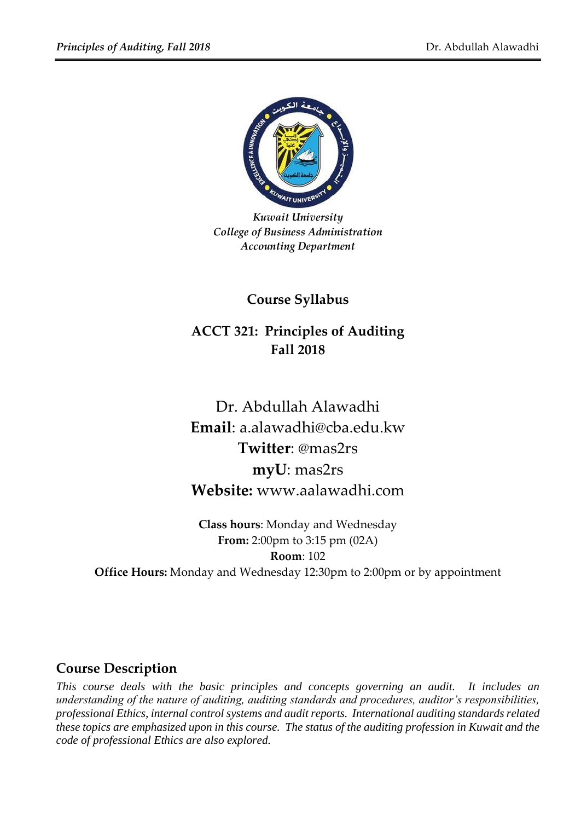

*Kuwait University College of Business Administration Accounting Department*

**Course Syllabus**

# **ACCT 321: Principles of Auditing Fall 2018**

Dr. Abdullah Alawadhi **Email**: a.alawadhi@cba.edu.kw **Twitter**: @mas2rs **myU**: mas2rs **Website:** www.aalawadhi.com

**Class hours**: Monday and Wednesday **From:** 2:00pm to 3:15 pm (02A) **Room**: 102 **Office Hours:** Monday and Wednesday 12:30pm to 2:00pm or by appointment

## **Course Description**

*This course deals with the basic principles and concepts governing an audit. It includes an understanding of the nature of auditing, auditing standards and procedures, auditor's responsibilities, professional Ethics, internal control systems and audit reports. International auditing standards related these topics are emphasized upon in this course. The status of the auditing profession in Kuwait and the code of professional Ethics are also explored.*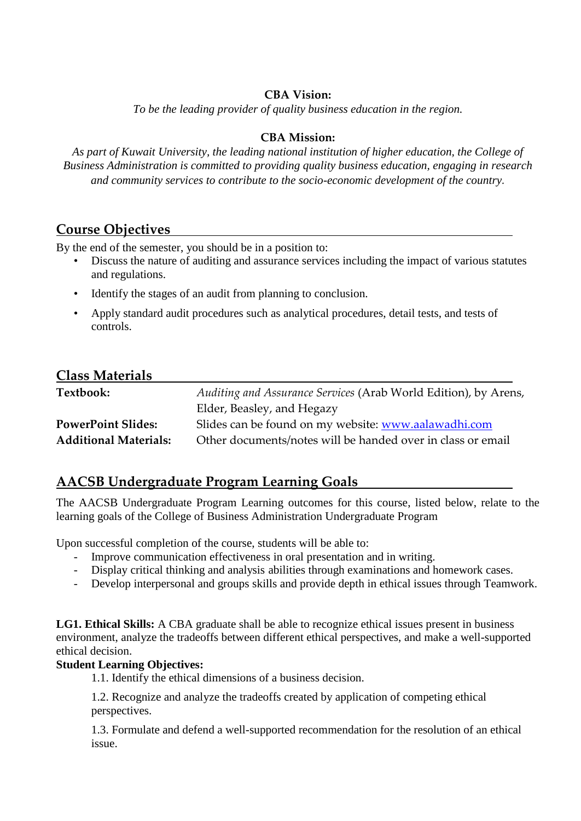#### **CBA Vision:**

*To be the leading provider of quality business education in the region.*

#### **CBA Mission:**

*As part of Kuwait University, the leading national institution of higher education, the College of Business Administration is committed to providing quality business education, engaging in research and community services to contribute to the socio-economic development of the country.*

## **Course Objectives**

By the end of the semester, you should be in a position to:

- Discuss the nature of auditing and assurance services including the impact of various statutes and regulations.
- Identify the stages of an audit from planning to conclusion.
- Apply standard audit procedures such as analytical procedures, detail tests, and tests of controls.

### **Class Materials**

| Textbook:                    | Auditing and Assurance Services (Arab World Edition), by Arens, |  |
|------------------------------|-----------------------------------------------------------------|--|
|                              | Elder, Beasley, and Hegazy                                      |  |
| <b>PowerPoint Slides:</b>    | Slides can be found on my website: www.aalawadhi.com            |  |
| <b>Additional Materials:</b> | Other documents/notes will be handed over in class or email     |  |

# **AACSB Undergraduate Program Learning Goals**

The AACSB Undergraduate Program Learning outcomes for this course, listed below, relate to the learning goals of the College of Business Administration Undergraduate Program

Upon successful completion of the course, students will be able to:

- Improve communication effectiveness in oral presentation and in writing.
- Display critical thinking and analysis abilities through examinations and homework cases.
- Develop interpersonal and groups skills and provide depth in ethical issues through Teamwork.

**LG1. Ethical Skills:** A CBA graduate shall be able to recognize ethical issues present in business environment, analyze the tradeoffs between different ethical perspectives, and make a well-supported ethical decision.

#### **Student Learning Objectives:**

1.1. Identify the ethical dimensions of a business decision.

1.2. Recognize and analyze the tradeoffs created by application of competing ethical perspectives.

1.3. Formulate and defend a well-supported recommendation for the resolution of an ethical issue.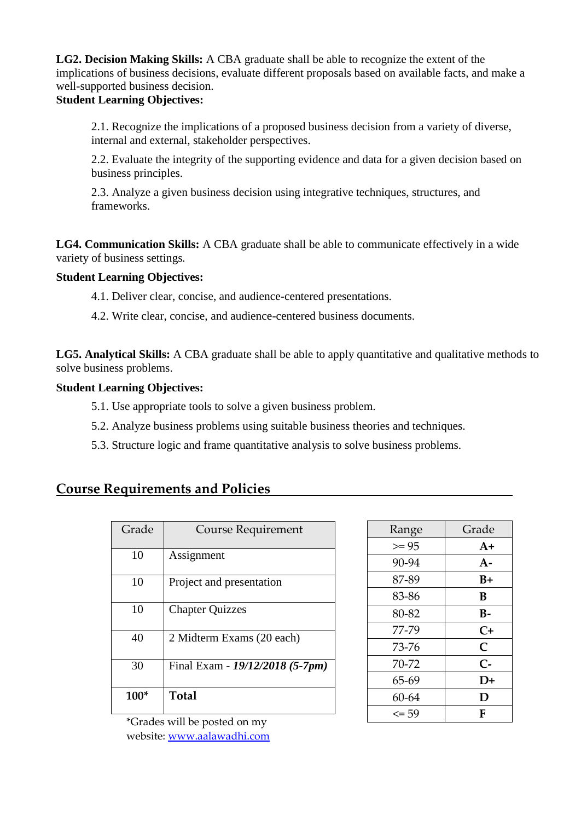**LG2. Decision Making Skills:** A CBA graduate shall be able to recognize the extent of the implications of business decisions, evaluate different proposals based on available facts, and make a well-supported business decision.

#### **Student Learning Objectives:**

2.1. Recognize the implications of a proposed business decision from a variety of diverse, internal and external, stakeholder perspectives.

2.2. Evaluate the integrity of the supporting evidence and data for a given decision based on business principles.

2.3. Analyze a given business decision using integrative techniques, structures, and frameworks.

**LG4. Communication Skills:** A CBA graduate shall be able to communicate effectively in a wide variety of business settings*.*

#### **Student Learning Objectives:**

4.1. Deliver clear, concise, and audience-centered presentations.

4.2. Write clear, concise, and audience-centered business documents.

**LG5. Analytical Skills:** A CBA graduate shall be able to apply quantitative and qualitative methods to solve business problems.

#### **Student Learning Objectives:**

- 5.1. Use appropriate tools to solve a given business problem.
- 5.2. Analyze business problems using suitable business theories and techniques.
- 5.3. Structure logic and frame quantitative analysis to solve business problems.

## **Course Requirements and Policies**

| Grade  | <b>Course Requirement</b>       |
|--------|---------------------------------|
| 10     | Assignment                      |
| 10     | Project and presentation        |
| 10     | <b>Chapter Quizzes</b>          |
| 40     | 2 Midterm Exams (20 each)       |
| 30     | Final Exam - 19/12/2018 (5-7pm) |
| $100*$ | Total                           |

| Range     | Grade |
|-----------|-------|
| $>= 95$   | $A+$  |
| 90-94     | $A-$  |
| 87-89     | $B+$  |
| 83-86     | В     |
| 80-82     | B-    |
| 77-79     | $C+$  |
| 73-76     | C     |
| 70-72     | $C -$ |
| 65-69     | D+    |
| 60-64     | D     |
| $\leq$ 59 | F     |

\*Grades will be posted on my website: [www.aalawadhi.com](http://www.aalawadhi.com/)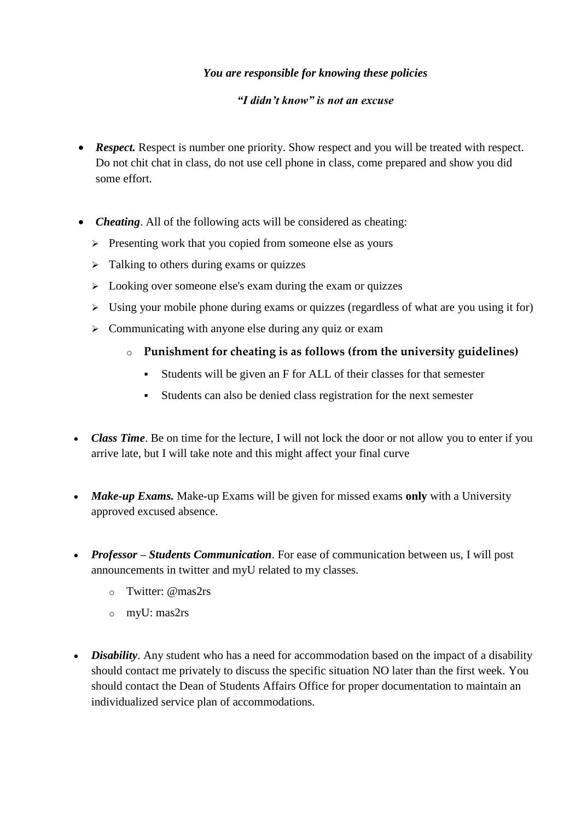#### *You are responsible for knowing these policies*

#### *"I didn't know" is not an excuse*

- **Respect.** Respect is number one priority. Show respect and you will be treated with respect. Do not chit chat in class, do not use cell phone in class, come prepared and show you did some effort.
- *Cheating*. All of the following acts will be considered as cheating:
	- $\triangleright$  Presenting work that you copied from someone else as yours
	- $\triangleright$  Talking to others during exams or quizzes
	- $\geq$  Looking over someone else's exam during the exam or quizzes
	- $\triangleright$  Using your mobile phone during exams or quizzes (regardless of what are you using it for)
	- $\geq$  Communicating with anyone else during any quiz or exam
		- o **Punishment for cheating is as follows (from the university guidelines)**
			- Students will be given an F for ALL of their classes for that semester
			- Students can also be denied class registration for the next semester
- *Class Time*. Be on time for the lecture, I will not lock the door or not allow you to enter if you arrive late, but I will take note and this might affect your final curve
- *Make-up Exams.* Make-up Exams will be given for missed exams **only** with a University approved excused absence.
- *Professor – Students Communication*. For ease of communication between us, I will post announcements in twitter and myU related to my classes.
	- o Twitter: @mas2rs
	- o myU: mas2rs
- *Disability*. Any student who has a need for accommodation based on the impact of a disability should contact me privately to discuss the specific situation NO later than the first week. You should contact the Dean of Students Affairs Office for proper documentation to maintain an individualized service plan of accommodations.